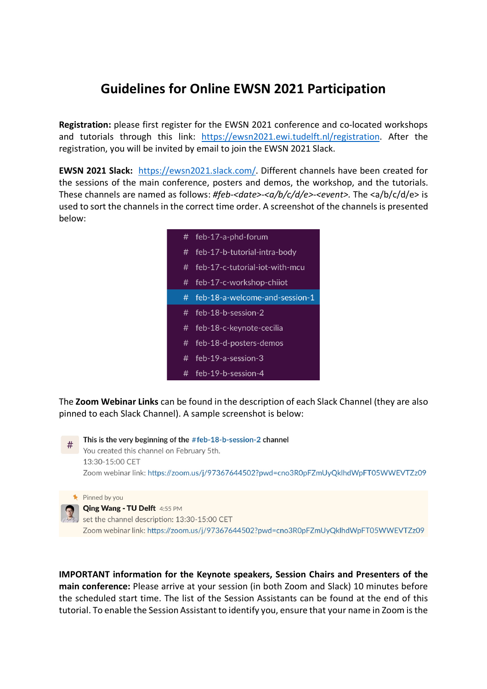## **Guidelines for Online EWSN 2021 Participation**

**Registration:** please first register for the EWSN 2021 conference and co-located workshops and tutorials through this link: https://ewsn2021.ewi.tudelft.nl/registration. After the registration, you will be invited by email to join the EWSN 2021 Slack.

**EWSN 2021 Slack:** https://ewsn2021.slack.com/. Different channels have been created for the sessions of the main conference, posters and demos, the workshop, and the tutorials. These channels are named as follows: *#feb-<date>-<a/b/c/d/e>-<event>.* The <a/b/c/d/e> is used to sort the channels in the correct time order. A screenshot of the channels is presented below:

| # | feb-17-a-phd-forum             |
|---|--------------------------------|
| # | feb-17-b-tutorial-intra-body   |
| # | feb-17-c-tutorial-iot-with-mcu |
|   | # feb-17-c-workshop-chiiot     |
| # | feb-18-a-welcome-and-session-1 |
|   |                                |
| # | feb-18-b-session-2             |
| # | feb-18-c-keynote-cecilia       |
| # | feb-18-d-posters-demos         |
| # | feb-19-a-session-3             |

The **Zoom Webinar Links** can be found in the description of each Slack Channel (they are also pinned to each Slack Channel). A sample screenshot is below:

This is the very beginning of the #feb-18-b-session-2 channel You created this channel on February 5th. 13:30-15:00 CET Zoom webinar link: https://zoom.us/j/97367644502?pwd=cno3R0pFZmUyQklhdWpFT05WWEVTZz09

Pinned by you

## **Qing Wang - TU Delft** 4:55 PM

set the channel description: 13:30-15:00 CET Zoom webinar link: https://zoom.us/j/97367644502?pwd=cno3R0pFZmUyQklhdWpFT05WWEVTZz09

**IMPORTANT information for the Keynote speakers, Session Chairs and Presenters of the main conference:** Please arrive at your session (in both Zoom and Slack) 10 minutes before the scheduled start time. The list of the Session Assistants can be found at the end of this tutorial. To enable the Session Assistant to identify you, ensure that your name in Zoom is the